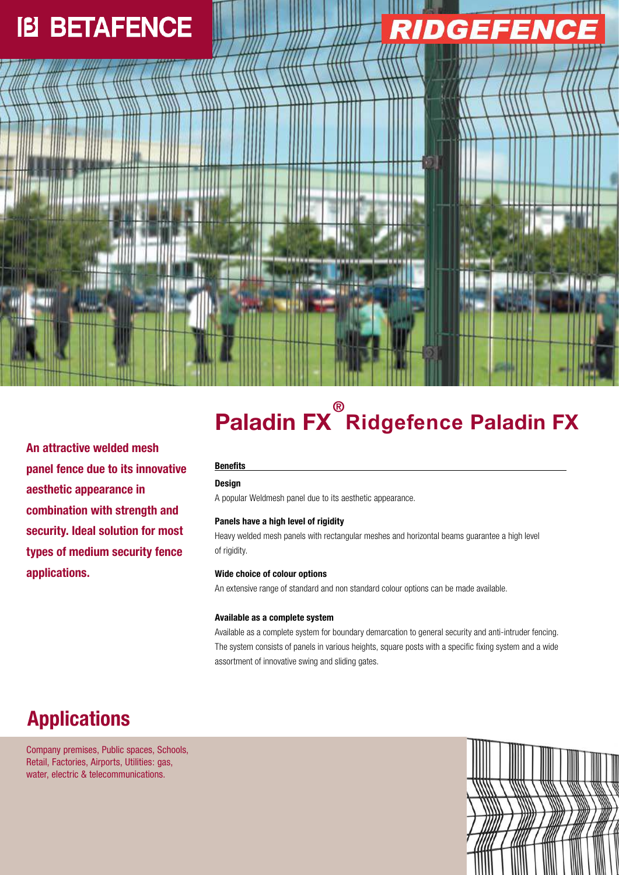# **IB BETAFENCE**



**An attractive welded mesh panel fence due to its innovative aesthetic appearance in combination with strength and security. Ideal solution for most types of medium security fence applications.**

# **Paladin ® FX Rid ce gefen Paladin FX**

# **Benefits**

# **Design**

A popular Weldmesh panel due to its aesthetic appearance.

# **Panels have a high level of rigidity**

Heavy welded mesh panels with rectangular meshes and horizontal beams guarantee a high level of rigidity.

## **Wide choice of colour options**

An extensive range of standard and non standard colour options can be made available.

#### **Available as a complete system**

Available as a complete system for boundary demarcation to general security and anti-intruder fencing. The system consists of panels in various heights, square posts with a specific fixing system and a wide assortment of innovative swing and sliding gates.

# **Applications**

Company premises, Public spaces, Schools, Retail, Factories, Airports, Utilities: gas, water, electric & telecommunications.